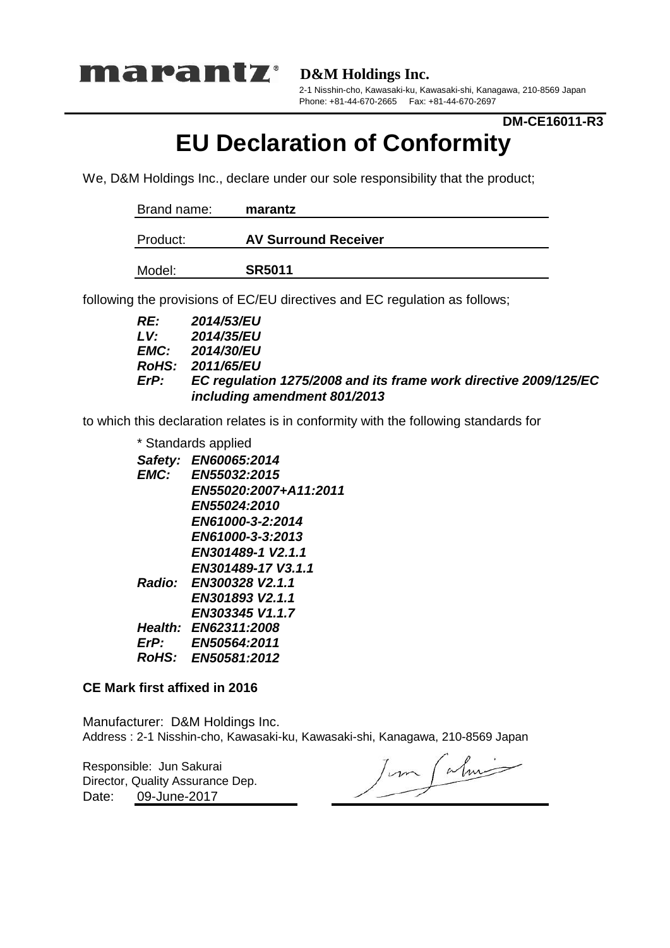

**D&M Holdings Inc.**

2-1 Nisshin-cho, Kawasaki-ku, Kawasaki-shi, Kanagawa, 210-8569 Japan Phone: +81-44-670-2665 Fax: +81-44-670-2697

### **DM-CE16011-R3**

# **EU Declaration of Conformity**

We, D&M Holdings Inc., declare under our sole responsibility that the product;

| Brand name: | marantz                     |  |
|-------------|-----------------------------|--|
| Product:    | <b>AV Surround Receiver</b> |  |
| Model:      | <b>SR5011</b>               |  |

following the provisions of EC/EU directives and EC regulation as follows;

| RE:  | <b>2014/53/EU</b>                                                |
|------|------------------------------------------------------------------|
| LV.  | 2014/35/EU                                                       |
|      | <b>EMC:</b> 2014/30/EU                                           |
|      | RoHS: 2011/65/EU                                                 |
| ErP: | EC regulation 1275/2008 and its frame work directive 2009/125/EC |
|      | including amendment 801/2013                                     |

to which this declaration relates is in conformity with the following standards for

| * Standards applied |                        |  |  |
|---------------------|------------------------|--|--|
|                     | Safety: EN60065:2014   |  |  |
| EMC:                | EN55032:2015           |  |  |
|                     | EN55020:2007+A11:2011  |  |  |
|                     | <b>EN55024:2010</b>    |  |  |
|                     | EN61000-3-2:2014       |  |  |
|                     | EN61000-3-3:2013       |  |  |
|                     | EN301489-1 V2.1.1      |  |  |
|                     | EN301489-17 V3.1.1     |  |  |
|                     | Radio: EN300328 V2.1.1 |  |  |
|                     | EN301893 V2.1.1        |  |  |
|                     | EN303345 V1.1.7        |  |  |
|                     | Health: EN62311:2008   |  |  |
| ErP:                | <b>EN50564:2011</b>    |  |  |
|                     | RoHS: EN50581:2012     |  |  |

#### **CE Mark first affixed in 2016**

Manufacturer: D&M Holdings Inc. Address : 2-1 Nisshin-cho, Kawasaki-ku, Kawasaki-shi, Kanagawa, 210-8569 Japan

Responsible: Jun Sakurai Date: Director, Quality Assurance Dep. 09-June-2017

Jun Calmi